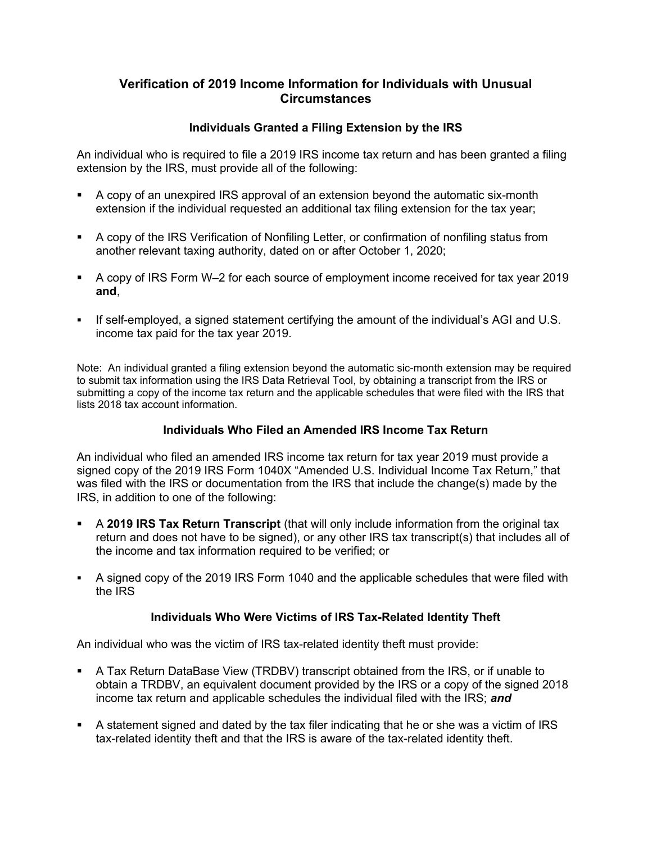# **Verification of 2019 Income Information for Individuals with Unusual Circumstances**

### **Individuals Granted a Filing Extension by the IRS**

An individual who is required to file a 2019 IRS income tax return and has been granted a filing extension by the IRS, must provide all of the following:

- A copy of an unexpired IRS approval of an extension beyond the automatic six-month extension if the individual requested an additional tax filing extension for the tax year;
- A copy of the IRS Verification of Nonfiling Letter, or confirmation of nonfiling status from another relevant taxing authority, dated on or after October 1, 2020;
- A copy of IRS Form W–2 for each source of employment income received for tax year 2019 **and**,
- If self-employed, a signed statement certifying the amount of the individual's AGI and U.S. income tax paid for the tax year 2019.

Note: An individual granted a filing extension beyond the automatic sic-month extension may be required to submit tax information using the IRS Data Retrieval Tool, by obtaining a transcript from the IRS or submitting a copy of the income tax return and the applicable schedules that were filed with the IRS that lists 2018 tax account information.

### **Individuals Who Filed an Amended IRS Income Tax Return**

An individual who filed an amended IRS income tax return for tax year 2019 must provide a signed copy of the 2019 IRS Form 1040X "Amended U.S. Individual Income Tax Return," that was filed with the IRS or documentation from the IRS that include the change(s) made by the IRS, in addition to one of the following:

- A **2019 IRS Tax Return Transcript** (that will only include information from the original tax return and does not have to be signed), or any other IRS tax transcript(s) that includes all of the income and tax information required to be verified; or
- A signed copy of the 2019 IRS Form 1040 and the applicable schedules that were filed with the IRS

# **Individuals Who Were Victims of IRS Tax-Related Identity Theft**

An individual who was the victim of IRS tax-related identity theft must provide:

- A Tax Return DataBase View (TRDBV) transcript obtained from the IRS, or if unable to obtain a TRDBV, an equivalent document provided by the IRS or a copy of the signed 2018 income tax return and applicable schedules the individual filed with the IRS; *and*
- A statement signed and dated by the tax filer indicating that he or she was a victim of IRS tax-related identity theft and that the IRS is aware of the tax-related identity theft.